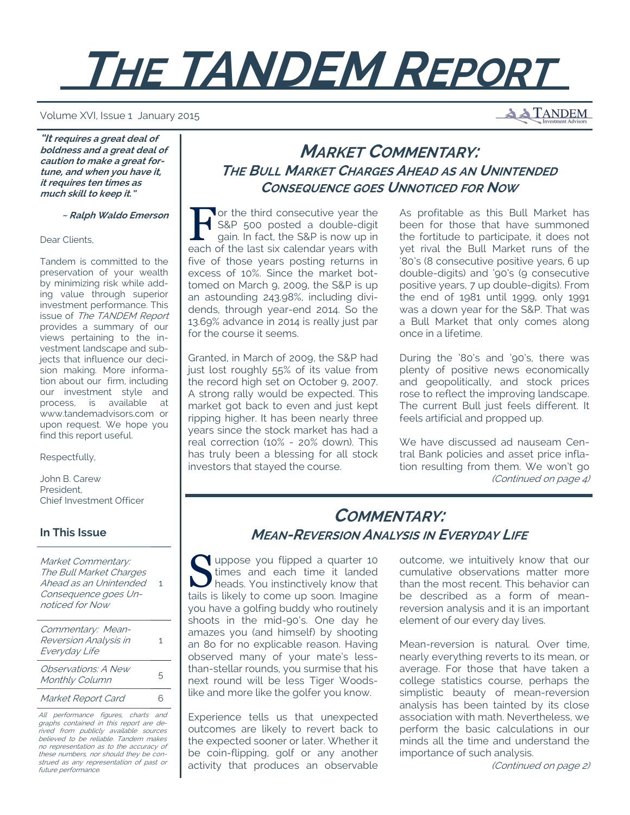# **THE TANDEM REPORT**

#### Volume XVI, Issue 1 January 2015

**A TANDEM** 

**"It requires a great deal of boldness and a great deal of caution to make a great fortune, and when you have it, it requires ten times as much skill to keep it."** 

 **~ Ralph Waldo Emerson**

Dear Clients,

Tandem is committed to the preservation of your wealth by minimizing risk while adding value through superior investment performance. This issue of The TANDEM Report provides a summary of our views pertaining to the investment landscape and subjects that influence our decision making. More information about our firm, including our investment style and process, is available at www.tandemadvisors.com or upon request. We hope you find this report useful.

#### Respectfully,

John B. Carew President, Chief Investment Officer

#### **In This Issue**

Market Commentary: The Bull Market Charges Ahead as an Unintended 1 Consequence goes Unnoticed for Now

| Commentary: Mean-<br>Reversion Analysis in<br>Everyday Life | 1 |
|-------------------------------------------------------------|---|
| <i>Observations: A New</i><br>Monthly Column                | 5 |
|                                                             |   |

Market Report Card 6

All performance figures, charts and graphs contained in this report are derived from publicly available sources believed to be reliable. Tandem makes no representation as to the accuracy of these numbers, nor should they be construed as any representation of past or future performance.

## **MARKET COMMENTARY: THE BULL MARKET CHARGES AHEAD AS AN UNINTENDED CONSEQUENCE GOES UNNOTICED FOR NOW**

Tor the third consecutive year the<br>S&P 500 posted a double-digit<br>gain. In fact, the S&P is now up in S&P 500 posted a double-digit gain. In fact, the S&P is now up in each of the last six calendar years with five of those years posting returns in excess of 10%. Since the market bottomed on March 9, 2009, the S&P is up an astounding 243.98%, including dividends, through year-end 2014. So the 13.69% advance in 2014 is really just par for the course it seems.

Granted, in March of 2009, the S&P had just lost roughly 55% of its value from the record high set on October 9, 2007. A strong rally would be expected. This market got back to even and just kept ripping higher. It has been nearly three years since the stock market has had a real correction (10% - 20% down). This has truly been a blessing for all stock investors that stayed the course.

As profitable as this Bull Market has been for those that have summoned the fortitude to participate, it does not yet rival the Bull Market runs of the '80's (8 consecutive positive years, 6 up double-digits) and '90's (9 consecutive positive years, 7 up double-digits). From the end of 1981 until 1999, only 1991 was a down year for the S&P. That was a Bull Market that only comes along once in a lifetime.

During the '80's and '90's, there was plenty of positive news economically and geopolitically, and stock prices rose to reflect the improving landscape. The current Bull just feels different. It feels artificial and propped up.

We have discussed ad nauseam Central Bank policies and asset price inflation resulting from them. We won't go (Continued on page 4)

## **COMMENTARY: MEAN-REVERSION ANALYSIS IN EVERYDAY LIFE**

Suppose you flipped a quarter 10<br>times and each time it landed<br>heads. You instinctively know that times and each time it landed heads. You instinctively know that tails is likely to come up soon. Imagine you have a golfing buddy who routinely shoots in the mid-90's. One day he amazes you (and himself) by shooting an 8o for no explicable reason. Having observed many of your mate's lessthan-stellar rounds, you surmise that his next round will be less Tiger Woodslike and more like the golfer you know.

Experience tells us that unexpected outcomes are likely to revert back to the expected sooner or later. Whether it be coin-flipping, golf or any another activity that produces an observable outcome, we intuitively know that our cumulative observations matter more than the most recent. This behavior can be described as a form of meanreversion analysis and it is an important element of our every day lives.

Mean-reversion is natural. Over time, nearly everything reverts to its mean, or average. For those that have taken a college statistics course, perhaps the simplistic beauty of mean-reversion analysis has been tainted by its close association with math. Nevertheless, we perform the basic calculations in our minds all the time and understand the importance of such analysis.

(Continued on page 2)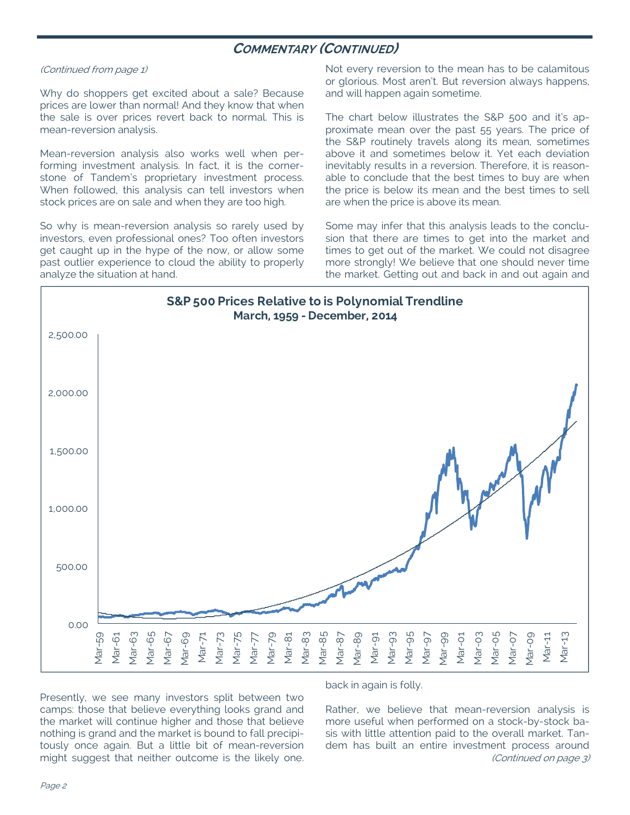## **COMMENTARY (CONTINUED)**

#### (Continued from page 1)

Why do shoppers get excited about a sale? Because prices are lower than normal! And they know that when the sale is over prices revert back to normal. This is mean-reversion analysis.

Mean-reversion analysis also works well when performing investment analysis. In fact, it is the cornerstone of Tandem's proprietary investment process. When followed, this analysis can tell investors when stock prices are on sale and when they are too high.

So why is mean-reversion analysis so rarely used by investors, even professional ones? Too often investors get caught up in the hype of the now, or allow some past outlier experience to cloud the ability to properly analyze the situation at hand.

Not every reversion to the mean has to be calamitous or glorious. Most aren't. But reversion always happens, and will happen again sometime.

The chart below illustrates the S&P 500 and it's approximate mean over the past 55 years. The price of the S&P routinely travels along its mean, sometimes above it and sometimes below it. Yet each deviation inevitably results in a reversion. Therefore, it is reasonable to conclude that the best times to buy are when the price is below its mean and the best times to sell are when the price is above its mean.

Some may infer that this analysis leads to the conclusion that there are times to get into the market and times to get out of the market. We could not disagree more strongly! We believe that one should never time the market. Getting out and back in and out again and



Presently, we see many investors split between two camps: those that believe everything looks grand and the market will continue higher and those that believe nothing is grand and the market is bound to fall precipitously once again. But a little bit of mean-reversion might suggest that neither outcome is the likely one.

back in again is folly.

Rather, we believe that mean-reversion analysis is more useful when performed on a stock-by-stock basis with little attention paid to the overall market. Tandem has built an entire investment process around (Continued on page 3)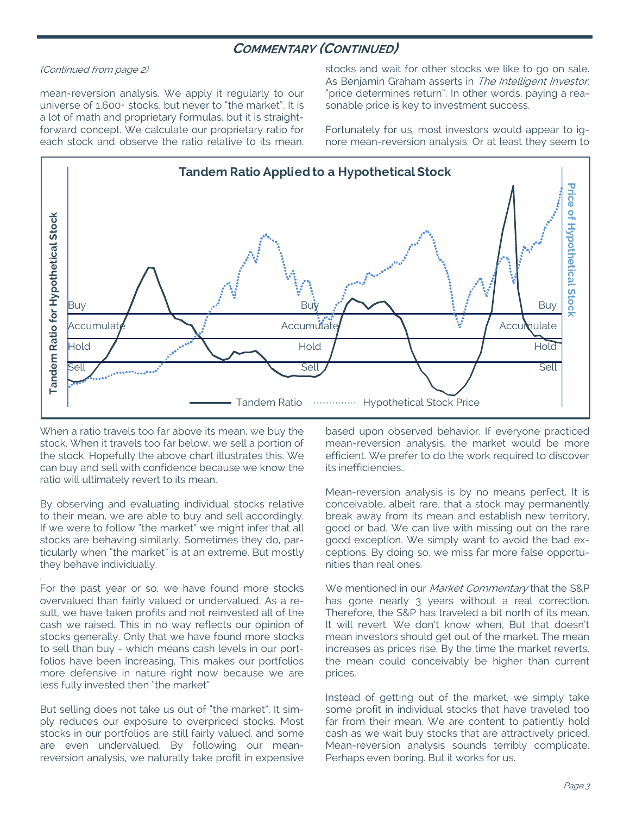## **COMMENTARY (CONTINUED)**

#### (Continued from page 2)

mean-reversion analysis. We apply it regularly to our universe of 1,600+ stocks, but never to "the market". It is a lot of math and proprietary formulas, but it is straightforward concept. We calculate our proprietary ratio for each stock and observe the ratio relative to its mean. stocks and wait for other stocks we like to go on sale. As Benjamin Graham asserts in The Intelligent Investor, "price determines return". In other words, paying a reasonable price is key to investment success.

Fortunately for us, most investors would appear to ignore mean-reversion analysis. Or at least they seem to



When a ratio travels too far above its mean, we buy the stock. When it travels too far below, we sell a portion of the stock. Hopefully the above chart illustrates this. We can buy and sell with confidence because we know the ratio will ultimately revert to its mean.

By observing and evaluating individual stocks relative to their mean, we are able to buy and sell accordingly. If we were to follow "the market" we might infer that all stocks are behaving similarly. Sometimes they do, particularly when "the market" is at an extreme. But mostly they behave individually.

.

For the past year or so, we have found more stocks overvalued than fairly valued or undervalued. As a result, we have taken profits and not reinvested all of the cash we raised. This in no way reflects our opinion of stocks generally. Only that we have found more stocks to sell than buy - which means cash levels in our portfolios have been increasing. This makes our portfolios more defensive in nature right now because we are less fully invested then "the market"

But selling does not take us out of "the market". It simply reduces our exposure to overpriced stocks. Most stocks in our portfolios are still fairly valued, and some are even undervalued. By following our meanreversion analysis, we naturally take profit in expensive based upon observed behavior. If everyone practiced mean-reversion analysis, the market would be more efficient. We prefer to do the work required to discover its inefficiencies..

Mean-reversion analysis is by no means perfect. It is conceivable, albeit rare, that a stock may permanently break away from its mean and establish new territory, good or bad. We can live with missing out on the rare good exception. We simply want to avoid the bad exceptions. By doing so, we miss far more false opportunities than real ones.

We mentioned in our Market Commentary that the S&P has gone nearly 3 years without a real correction. Therefore, the S&P has traveled a bit north of its mean. It will revert. We don't know when, But that doesn't mean investors should get out of the market. The mean increases as prices rise. By the time the market reverts, the mean could conceivably be higher than current prices.

Instead of getting out of the market, we simply take some profit in individual stocks that have traveled too far from their mean. We are content to patiently hold cash as we wait buy stocks that are attractively priced. Mean-reversion analysis sounds terribly complicate. Perhaps even boring. But it works for us.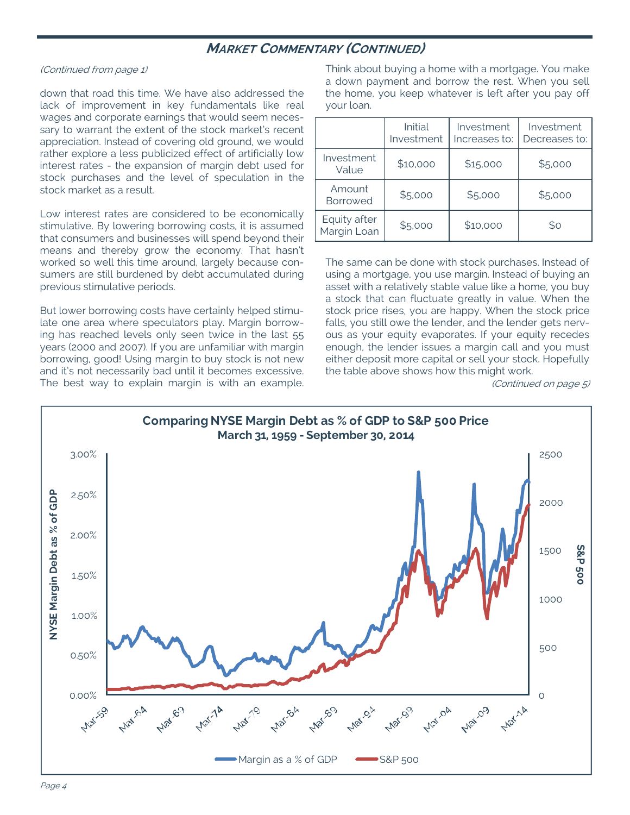## **MARKET COMMENTARY (CONTINUED)**

#### (Continued from page 1)

down that road this time. We have also addressed the lack of improvement in key fundamentals like real wages and corporate earnings that would seem necessary to warrant the extent of the stock market's recent appreciation. Instead of covering old ground, we would rather explore a less publicized effect of artificially low interest rates - the expansion of margin debt used for stock purchases and the level of speculation in the stock market as a result.

Low interest rates are considered to be economically stimulative. By lowering borrowing costs, it is assumed that consumers and businesses will spend beyond their means and thereby grow the economy. That hasn't worked so well this time around, largely because consumers are still burdened by debt accumulated during previous stimulative periods.

But lower borrowing costs have certainly helped stimulate one area where speculators play. Margin borrowing has reached levels only seen twice in the last 55 years (2000 and 2007). If you are unfamiliar with margin borrowing, good! Using margin to buy stock is not new and it's not necessarily bad until it becomes excessive. The best way to explain margin is with an example. Think about buying a home with a mortgage. You make a down payment and borrow the rest. When you sell the home, you keep whatever is left after you pay off your loan.

|                             | Initial<br>Investment | Investment<br>Increases to: | Investment<br>Decreases to: |
|-----------------------------|-----------------------|-----------------------------|-----------------------------|
| Investment<br>Value         | \$10,000              | \$15,000                    | \$5,000                     |
| Amount<br><b>Borrowed</b>   | \$5,000               | \$5,000                     | \$5,000                     |
| Equity after<br>Margin Loan | \$5,000               | \$10,000                    | \$0                         |

The same can be done with stock purchases. Instead of using a mortgage, you use margin. Instead of buying an asset with a relatively stable value like a home, you buy a stock that can fluctuate greatly in value. When the stock price rises, you are happy. When the stock price falls, you still owe the lender, and the lender gets nervous as your equity evaporates. If your equity recedes enough, the lender issues a margin call and you must either deposit more capital or sell your stock. Hopefully the table above shows how this might work.

(Continued on page 5)

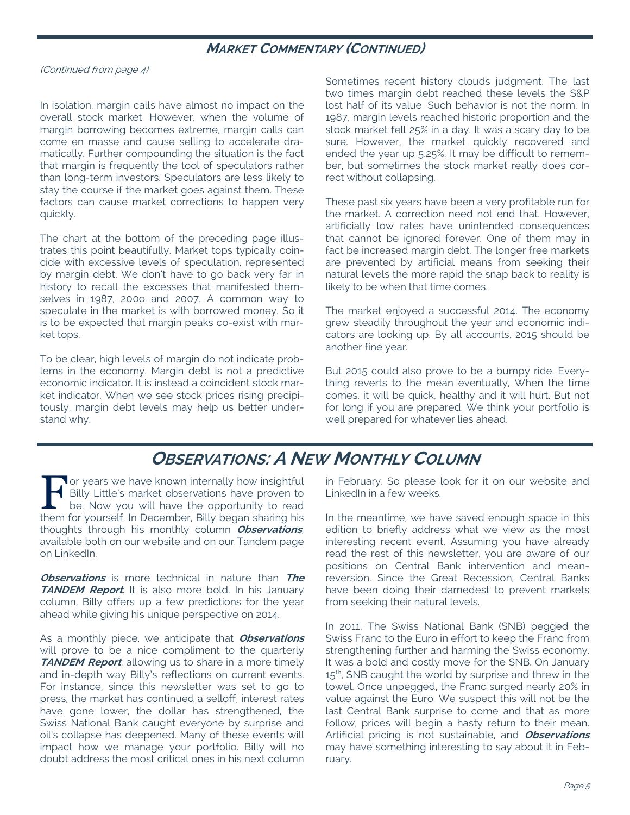### **MARKET COMMENTARY (CONTINUED)**

(Continued from page 4)

In isolation, margin calls have almost no impact on the overall stock market. However, when the volume of margin borrowing becomes extreme, margin calls can come en masse and cause selling to accelerate dramatically. Further compounding the situation is the fact that margin is frequently the tool of speculators rather than long-term investors. Speculators are less likely to stay the course if the market goes against them. These factors can cause market corrections to happen very quickly.

The chart at the bottom of the preceding page illustrates this point beautifully. Market tops typically coincide with excessive levels of speculation, represented by margin debt. We don't have to go back very far in history to recall the excesses that manifested themselves in 1987, 200o and 2007. A common way to speculate in the market is with borrowed money. So it is to be expected that margin peaks co-exist with market tops.

To be clear, high levels of margin do not indicate problems in the economy. Margin debt is not a predictive economic indicator. It is instead a coincident stock market indicator. When we see stock prices rising precipitously, margin debt levels may help us better understand why.

Sometimes recent history clouds judgment. The last two times margin debt reached these levels the S&P lost half of its value. Such behavior is not the norm. In 1987, margin levels reached historic proportion and the stock market fell 25% in a day. It was a scary day to be sure. However, the market quickly recovered and ended the year up 5.25%. It may be difficult to remember, but sometimes the stock market really does correct without collapsing.

These past six years have been a very profitable run for the market. A correction need not end that. However, artificially low rates have unintended consequences that cannot be ignored forever. One of them may in fact be increased margin debt. The longer free markets are prevented by artificial means from seeking their natural levels the more rapid the snap back to reality is likely to be when that time comes.

The market enjoyed a successful 2014. The economy grew steadily throughout the year and economic indicators are looking up. By all accounts, 2015 should be another fine year.

But 2015 could also prove to be a bumpy ride. Everything reverts to the mean eventually, When the time comes, it will be quick, healthy and it will hurt. But not for long if you are prepared. We think your portfolio is well prepared for whatever lies ahead.

## **OBSERVATIONS: A NEW MONTHLY COLUMN**

F or years we have known internally how insightful<br>Billy Little's market observations have proven to<br>be. Now you will have the opportunity to read Billy Little's market observations have proven to be. Now you will have the opportunity to read them for yourself. In December, Billy began sharing his thoughts through his monthly column **Observations**, available both on our website and on our Tandem page on LinkedIn.

**Observations** is more technical in nature than **The TANDEM Report**. It is also more bold. In his January column, Billy offers up a few predictions for the year ahead while giving his unique perspective on 2014.

As a monthly piece, we anticipate that **Observations** will prove to be a nice compliment to the quarterly **TANDEM Report**, allowing us to share in a more timely and in-depth way Billy's reflections on current events. For instance, since this newsletter was set to go to press, the market has continued a selloff, interest rates have gone lower, the dollar has strengthened, the Swiss National Bank caught everyone by surprise and oil's collapse has deepened. Many of these events will impact how we manage your portfolio. Billy will no doubt address the most critical ones in his next column

in February. So please look for it on our website and LinkedIn in a few weeks.

In the meantime, we have saved enough space in this edition to briefly address what we view as the most interesting recent event. Assuming you have already read the rest of this newsletter, you are aware of our positions on Central Bank intervention and meanreversion. Since the Great Recession, Central Banks have been doing their darnedest to prevent markets from seeking their natural levels.

In 2011, The Swiss National Bank (SNB) pegged the Swiss Franc to the Euro in effort to keep the Franc from strengthening further and harming the Swiss economy. It was a bold and costly move for the SNB. On January 15<sup>th</sup>, SNB caught the world by surprise and threw in the towel. Once unpegged, the Franc surged nearly 20% in value against the Euro. We suspect this will not be the last Central Bank surprise to come and that as more follow, prices will begin a hasty return to their mean. Artificial pricing is not sustainable, and **Observations** may have something interesting to say about it in February.